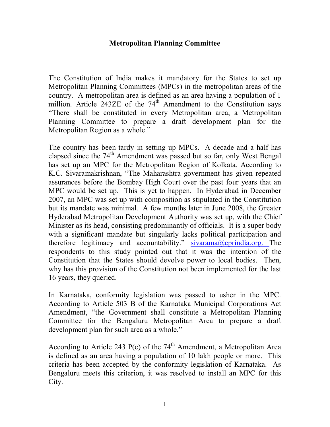#### **Metropolitan Planning Committee**

The Constitution of India makes it mandatory for the States to set up Metropolitan Planning Committees (MPCs) in the metropolitan areas of the country. A metropolitan area is defined as an area having a population of 1 million. Article 243ZE of the  $74<sup>th</sup>$  Amendment to the Constitution says "There shall be constituted in every Metropolitan area, a Metropolitan Planning Committee to prepare a draft development plan for the Metropolitan Region as a whole."

The country has been tardy in setting up MPCs. A decade and a half has elapsed since the 74<sup>th</sup> Amendment was passed but so far, only West Bengal has set up an MPC for the Metropolitan Region of Kolkata. According to K.C. Sivaramakrishnan, "The Maharashtra government has given repeated assurances before the Bombay High Court over the past four years that an MPC would be set up. This is yet to happen. In Hyderabad in December 2007, an MPC was set up with composition as stipulated in the Constitution but its mandate was minimal. A few months later in June 2008, the Greater Hyderabad Metropolitan Development Authority was set up, with the Chief Minister as its head, consisting predominantly of officials. It is a super body with a significant mandate but singularly lacks political participation and therefore legitimacy and accountability." sivarama@cprindia.org. The respondents to this study pointed out that it was the intention of the Constitution that the States should devolve power to local bodies. Then, why has this provision of the Constitution not been implemented for the last 16 years, they queried.

In Karnataka, conformity legislation was passed to usher in the MPC. According to Article 503 B of the Karnataka Municipal Corporations Act Amendment, "the Government shall constitute a Metropolitan Planning Committee for the Bengaluru Metropolitan Area to prepare a draft development plan for such area as a whole."

According to Article 243 P(c) of the  $74<sup>th</sup>$  Amendment, a Metropolitan Area is defined as an area having a population of 10 lakh people or more. This criteria has been accepted by the conformity legislation of Karnataka. As Bengaluru meets this criterion, it was resolved to install an MPC for this City.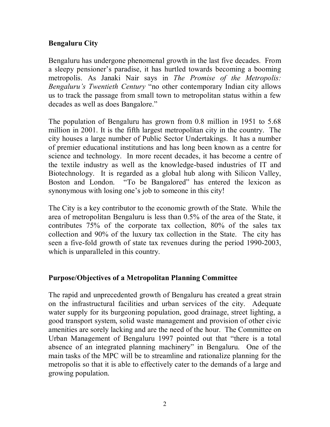# **Bengaluru City**

Bengaluru has undergone phenomenal growth in the last five decades. From a sleepy pensioner's paradise, it has hurtled towards becoming a booming metropolis. As Janaki Nair says in *The Promise of the Metropolis: Bengaluru's Twentieth Century* "no other contemporary Indian city allows us to track the passage from small town to metropolitan status within a few decades as well as does Bangalore."

The population of Bengaluru has grown from 0.8 million in 1951 to 5.68 million in 2001. It is the fifth largest metropolitan city in the country. The city houses a large number of Public Sector Undertakings. It has a number of premier educational institutions and has long been known as a centre for science and technology. In more recent decades, it has become a centre of the textile industry as well as the knowledge-based industries of IT and Biotechnology. It is regarded as a global hub along with Silicon Valley, Boston and London. "To be Bangalored" has entered the lexicon as synonymous with losing one's job to someone in this city!

The City is a key contributor to the economic growth of the State. While the area of metropolitan Bengaluru is less than 0.5% of the area of the State, it contributes 75% of the corporate tax collection, 80% of the sales tax collection and 90% of the luxury tax collection in the State. The city has seen a five-fold growth of state tax revenues during the period 1990-2003, which is unparalleled in this country.

## **Purpose/Objectives of a Metropolitan Planning Committee**

The rapid and unprecedented growth of Bengaluru has created a great strain on the infrastructural facilities and urban services of the city. Adequate water supply for its burgeoning population, good drainage, street lighting, a good transport system, solid waste management and provision of other civic amenities are sorely lacking and are the need of the hour. The Committee on Urban Management of Bengaluru 1997 pointed out that "there is a total absence of an integrated planning machinery" in Bengaluru. One of the main tasks of the MPC will be to streamline and rationalize planning for the metropolis so that it is able to effectively cater to the demands of a large and growing population.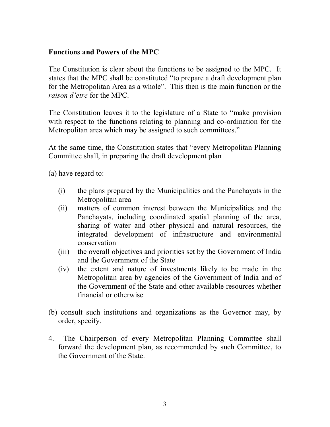#### **Functions and Powers of the MPC**

The Constitution is clear about the functions to be assigned to the MPC. It states that the MPC shall be constituted "to prepare a draft development plan for the Metropolitan Area as a whole". This then is the main function or the *raison d'etre* for the MPC.

The Constitution leaves it to the legislature of a State to "make provision with respect to the functions relating to planning and co-ordination for the Metropolitan area which may be assigned to such committees."

At the same time, the Constitution states that "every Metropolitan Planning Committee shall, in preparing the draft development plan

(a) have regard to:

- (i) the plans prepared by the Municipalities and the Panchayats in the Metropolitan area
- (ii) matters of common interest between the Municipalities and the Panchayats, including coordinated spatial planning of the area, sharing of water and other physical and natural resources, the integrated development of infrastructure and environmental conservation
- (iii) the overall objectives and priorities set by the Government of India and the Government of the State
- (iv) the extent and nature of investments likely to be made in the Metropolitan area by agencies of the Government of India and of the Government of the State and other available resources whether financial or otherwise
- (b) consult such institutions and organizations as the Governor may, by order, specify.
- 4. The Chairperson of every Metropolitan Planning Committee shall forward the development plan, as recommended by such Committee, to the Government of the State.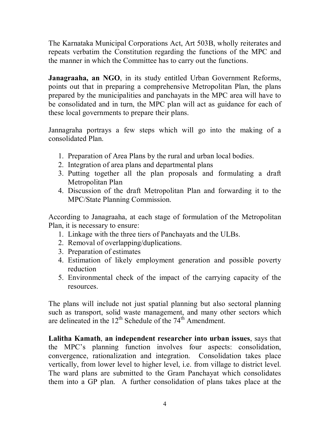The Karnataka Municipal Corporations Act, Art 503B, wholly reiterates and repeats verbatim the Constitution regarding the functions of the MPC and the manner in which the Committee has to carry out the functions.

**Janagraaha, an NGO**, in its study entitled Urban Government Reforms, points out that in preparing a comprehensive Metropolitan Plan, the plans prepared by the municipalities and panchayats in the MPC area will have to be consolidated and in turn, the MPC plan will act as guidance for each of these local governments to prepare their plans.

Jannagraha portrays a few steps which will go into the making of a consolidated Plan.

- 1. Preparation of Area Plans by the rural and urban local bodies.
- 2. Integration of area plans and departmental plans
- 3. Putting together all the plan proposals and formulating a draft Metropolitan Plan
- 4. Discussion of the draft Metropolitan Plan and forwarding it to the MPC/State Planning Commission.

According to Janagraaha, at each stage of formulation of the Metropolitan Plan, it is necessary to ensure:

- 1. Linkage with the three tiers of Panchayats and the ULBs.
- 2. Removal of overlapping/duplications.
- 3. Preparation of estimates
- 4. Estimation of likely employment generation and possible poverty reduction
- 5. Environmental check of the impact of the carrying capacity of the resources.

The plans will include not just spatial planning but also sectoral planning such as transport, solid waste management, and many other sectors which are delineated in the  $12^{th}$  Schedule of the  $74^{th}$  Amendment.

**Lalitha Kamath**, **an independent researcher into urban issues**, says that the MPC's planning function involves four aspects: consolidation, convergence, rationalization and integration. Consolidation takes place vertically, from lower level to higher level, i.e. from village to district level. The ward plans are submitted to the Gram Panchayat which consolidates them into a GP plan. A further consolidation of plans takes place at the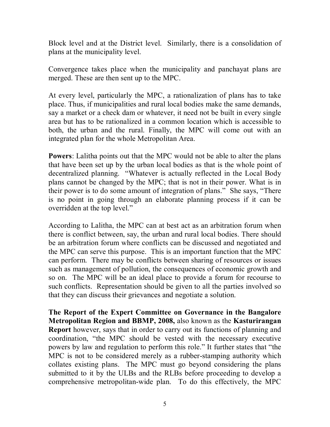Block level and at the District level. Similarly, there is a consolidation of plans at the municipality level.

Convergence takes place when the municipality and panchayat plans are merged. These are then sent up to the MPC.

At every level, particularly the MPC, a rationalization of plans has to take place. Thus, if municipalities and rural local bodies make the same demands, say a market or a check dam or whatever, it need not be built in every single area but has to be rationalized in a common location which is accessible to both, the urban and the rural. Finally, the MPC will come out with an integrated plan for the whole Metropolitan Area.

**Powers**: Lalitha points out that the MPC would not be able to alter the plans that have been set up by the urban local bodies as that is the whole point of decentralized planning. "Whatever is actually reflected in the Local Body plans cannot be changed by the MPC; that is not in their power. What is in their power is to do some amount of integration of plans." She says, "There is no point in going through an elaborate planning process if it can be overridden at the top level."

According to Lalitha, the MPC can at best act as an arbitration forum when there is conflict between, say, the urban and rural local bodies. There should be an arbitration forum where conflicts can be discussed and negotiated and the MPC can serve this purpose. This is an important function that the MPC can perform. There may be conflicts between sharing of resources or issues such as management of pollution, the consequences of economic growth and so on. The MPC will be an ideal place to provide a forum for recourse to such conflicts. Representation should be given to all the parties involved so that they can discuss their grievances and negotiate a solution.

**The Report of the Expert Committee on Governance in the Bangalore Metropolitan Region and BBMP, 2008,** also known as the **Kasturirangan Report** however, says that in order to carry out its functions of planning and coordination, "the MPC should be vested with the necessary executive powers by law and regulation to perform this role." It further states that "the MPC is not to be considered merely as a rubber-stamping authority which collates existing plans. The MPC must go beyond considering the plans submitted to it by the ULBs and the RLBs before proceeding to develop a comprehensive metropolitan-wide plan. To do this effectively, the MPC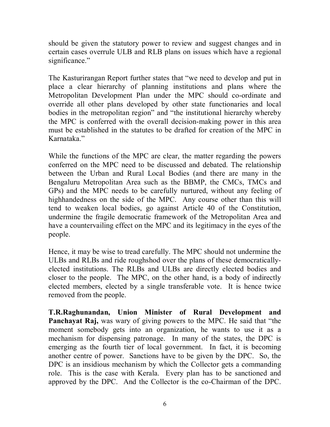should be given the statutory power to review and suggest changes and in certain cases overrule ULB and RLB plans on issues which have a regional significance."

The Kasturirangan Report further states that "we need to develop and put in place a clear hierarchy of planning institutions and plans where the Metropolitan Development Plan under the MPC should co-ordinate and override all other plans developed by other state functionaries and local bodies in the metropolitan region" and "the institutional hierarchy whereby the MPC is conferred with the overall decision-making power in this area must be established in the statutes to be drafted for creation of the MPC in Karnataka."

While the functions of the MPC are clear, the matter regarding the powers conferred on the MPC need to be discussed and debated. The relationship between the Urban and Rural Local Bodies (and there are many in the Bengaluru Metropolitan Area such as the BBMP, the CMCs, TMCs and GPs) and the MPC needs to be carefully nurtured, without any feeling of highhandedness on the side of the MPC. Any course other than this will tend to weaken local bodies, go against Article 40 of the Constitution, undermine the fragile democratic framework of the Metropolitan Area and have a countervailing effect on the MPC and its legitimacy in the eyes of the people.

Hence, it may be wise to tread carefully. The MPC should not undermine the ULBs and RLBs and ride roughshod over the plans of these democraticallyelected institutions. The RLBs and ULBs are directly elected bodies and closer to the people. The MPC, on the other hand, is a body of indirectly elected members, elected by a single transferable vote. It is hence twice removed from the people.

**T.R.Raghunandan, Union Minister of Rural Development and Panchayat Raj,** was wary of giving powers to the MPC. He said that "the moment somebody gets into an organization, he wants to use it as a mechanism for dispensing patronage. In many of the states, the DPC is emerging as the fourth tier of local government. In fact, it is becoming another centre of power. Sanctions have to be given by the DPC. So, the DPC is an insidious mechanism by which the Collector gets a commanding role. This is the case with Kerala. Every plan has to be sanctioned and approved by the DPC. And the Collector is the co-Chairman of the DPC.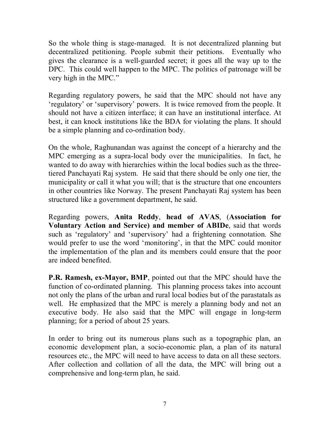So the whole thing is stage-managed. It is not decentralized planning but decentralized petitioning. People submit their petitions. Eventually who gives the clearance is a well-guarded secret; it goes all the way up to the DPC. This could well happen to the MPC. The politics of patronage will be very high in the MPC."

Regarding regulatory powers, he said that the MPC should not have any 'regulatory' or 'supervisory' powers. It is twice removed from the people. It should not have a citizen interface; it can have an institutional interface. At best, it can knock institutions like the BDA for violating the plans. It should be a simple planning and co-ordination body.

On the whole, Raghunandan was against the concept of a hierarchy and the MPC emerging as a supra-local body over the municipalities. In fact, he wanted to do away with hierarchies within the local bodies such as the threetiered Panchayati Raj system. He said that there should be only one tier, the municipality or call it what you will; that is the structure that one encounters in other countries like Norway. The present Panchayati Raj system has been structured like a government department, he said.

Regarding powers, **Anita Reddy**, **head of AVAS**, (**Association for Voluntary Action and Service) and member of ABIDe**, said that words such as 'regulatory' and 'supervisory' had a frightening connotation. She would prefer to use the word 'monitoring', in that the MPC could monitor the implementation of the plan and its members could ensure that the poor are indeed benefited.

**P.R. Ramesh, ex-Mayor, BMP**, pointed out that the MPC should have the function of co-ordinated planning. This planning process takes into account not only the plans of the urban and rural local bodies but of the parastatals as well. He emphasized that the MPC is merely a planning body and not an executive body. He also said that the MPC will engage in long-term planning; for a period of about 25 years.

In order to bring out its numerous plans such as a topographic plan, an economic development plan, a socio-economic plan, a plan of its natural resources etc., the MPC will need to have access to data on all these sectors. After collection and collation of all the data, the MPC will bring out a comprehensive and long-term plan, he said.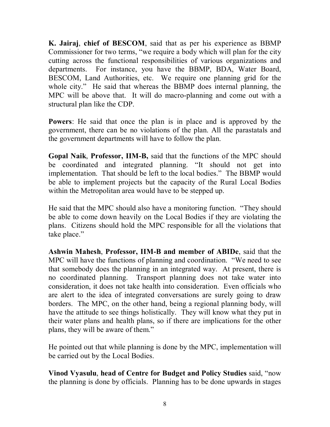**K. Jairaj**, **chief of BESCOM**, said that as per his experience as BBMP Commissioner for two terms, "we require a body which will plan for the city cutting across the functional responsibilities of various organizations and departments. For instance, you have the BBMP, BDA, Water Board, BESCOM, Land Authorities, etc. We require one planning grid for the whole city." He said that whereas the BBMP does internal planning, the MPC will be above that. It will do macro-planning and come out with a structural plan like the CDP.

**Powers**: He said that once the plan is in place and is approved by the government, there can be no violations of the plan. All the parastatals and the government departments will have to follow the plan.

**Gopal Naik**, **Professor, IIM-B,** said that the functions of the MPC should be coordinated and integrated planning. "It should not get into implementation. That should be left to the local bodies." The BBMP would be able to implement projects but the capacity of the Rural Local Bodies within the Metropolitan area would have to be stepped up.

He said that the MPC should also have a monitoring function. "They should be able to come down heavily on the Local Bodies if they are violating the plans. Citizens should hold the MPC responsible for all the violations that take place."

**Ashwin Mahesh**, **Professor, IIM-B and member of ABIDe**, said that the MPC will have the functions of planning and coordination. "We need to see that somebody does the planning in an integrated way. At present, there is no coordinated planning. Transport planning does not take water into consideration, it does not take health into consideration. Even officials who are alert to the idea of integrated conversations are surely going to draw borders. The MPC, on the other hand, being a regional planning body, will have the attitude to see things holistically. They will know what they put in their water plans and health plans, so if there are implications for the other plans, they will be aware of them."

He pointed out that while planning is done by the MPC, implementation will be carried out by the Local Bodies.

**Vinod Vyasulu**, **head of Centre for Budget and Policy Studies** said, "now the planning is done by officials. Planning has to be done upwards in stages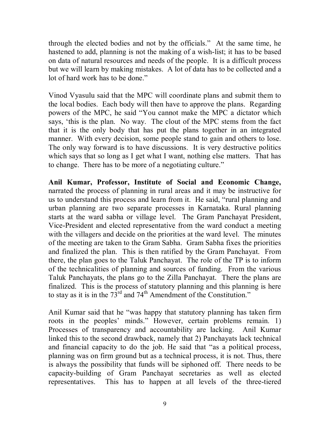through the elected bodies and not by the officials." At the same time, he hastened to add, planning is not the making of a wish-list; it has to be based on data of natural resources and needs of the people. It is a difficult process but we will learn by making mistakes. A lot of data has to be collected and a lot of hard work has to be done."

Vinod Vyasulu said that the MPC will coordinate plans and submit them to the local bodies. Each body will then have to approve the plans. Regarding powers of the MPC, he said "You cannot make the MPC a dictator which says, 'this is the plan. No way. The clout of the MPC stems from the fact that it is the only body that has put the plans together in an integrated manner. With every decision, some people stand to gain and others to lose. The only way forward is to have discussions. It is very destructive politics which says that so long as I get what I want, nothing else matters. That has to change. There has to be more of a negotiating culture."

**Anil Kumar, Professor, Institute of Social and Economic Change,**  narrated the process of planning in rural areas and it may be instructive for us to understand this process and learn from it. He said, "rural planning and urban planning are two separate processes in Karnataka. Rural planning starts at the ward sabha or village level. The Gram Panchayat President, Vice-President and elected representative from the ward conduct a meeting with the villagers and decide on the priorities at the ward level. The minutes of the meeting are taken to the Gram Sabha. Gram Sabha fixes the priorities and finalized the plan. This is then ratified by the Gram Panchayat. From there, the plan goes to the Taluk Panchayat. The role of the TP is to inform of the technicalities of planning and sources of funding. From the various Taluk Panchayats, the plans go to the Zilla Panchayat. There the plans are finalized. This is the process of statutory planning and this planning is here to stay as it is in the  $73<sup>rd</sup>$  and  $74<sup>th</sup>$  Amendment of the Constitution."

Anil Kumar said that he "was happy that statutory planning has taken firm roots in the peoples' minds." However, certain problems remain. 1) Processes of transparency and accountability are lacking. Anil Kumar linked this to the second drawback, namely that 2) Panchayats lack technical and financial capacity to do the job. He said that "as a political process, planning was on firm ground but as a technical process, it is not. Thus, there is always the possibility that funds will be siphoned off. There needs to be capacity-building of Gram Panchayat secretaries as well as elected representatives. This has to happen at all levels of the three-tiered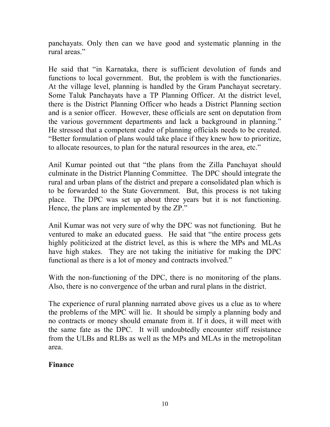panchayats. Only then can we have good and systematic planning in the rural areas"

He said that "in Karnataka, there is sufficient devolution of funds and functions to local government. But, the problem is with the functionaries. At the village level, planning is handled by the Gram Panchayat secretary. Some Taluk Panchayats have a TP Planning Officer. At the district level, there is the District Planning Officer who heads a District Planning section and is a senior officer. However, these officials are sent on deputation from the various government departments and lack a background in planning." He stressed that a competent cadre of planning officials needs to be created. "Better formulation of plans would take place if they knew how to prioritize, to allocate resources, to plan for the natural resources in the area, etc."

Anil Kumar pointed out that "the plans from the Zilla Panchayat should culminate in the District Planning Committee. The DPC should integrate the rural and urban plans of the district and prepare a consolidated plan which is to be forwarded to the State Government. But, this process is not taking place. The DPC was set up about three years but it is not functioning. Hence, the plans are implemented by the ZP."

Anil Kumar was not very sure of why the DPC was not functioning. But he ventured to make an educated guess. He said that "the entire process gets highly politicized at the district level, as this is where the MPs and MLAs have high stakes. They are not taking the initiative for making the DPC functional as there is a lot of money and contracts involved."

With the non-functioning of the DPC, there is no monitoring of the plans. Also, there is no convergence of the urban and rural plans in the district.

The experience of rural planning narrated above gives us a clue as to where the problems of the MPC will lie. It should be simply a planning body and no contracts or money should emanate from it. If it does, it will meet with the same fate as the DPC. It will undoubtedly encounter stiff resistance from the ULBs and RLBs as well as the MPs and MLAs in the metropolitan area.

## **Finance**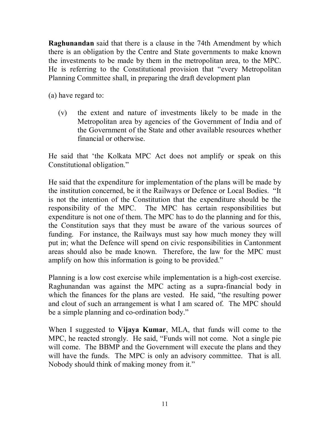**Raghunandan** said that there is a clause in the 74th Amendment by which there is an obligation by the Centre and State governments to make known the investments to be made by them in the metropolitan area, to the MPC. He is referring to the Constitutional provision that "every Metropolitan Planning Committee shall, in preparing the draft development plan

(a) have regard to:

(v) the extent and nature of investments likely to be made in the Metropolitan area by agencies of the Government of India and of the Government of the State and other available resources whether financial or otherwise.

He said that 'the Kolkata MPC Act does not amplify or speak on this Constitutional obligation."

He said that the expenditure for implementation of the plans will be made by the institution concerned, be it the Railways or Defence or Local Bodies. "It is not the intention of the Constitution that the expenditure should be the responsibility of the MPC. The MPC has certain responsibilities but expenditure is not one of them. The MPC has to do the planning and for this, the Constitution says that they must be aware of the various sources of funding. For instance, the Railways must say how much money they will put in; what the Defence will spend on civic responsibilities in Cantonment areas should also be made known. Therefore, the law for the MPC must amplify on how this information is going to be provided."

Planning is a low cost exercise while implementation is a high-cost exercise. Raghunandan was against the MPC acting as a supra-financial body in which the finances for the plans are vested. He said, "the resulting power and clout of such an arrangement is what I am scared of. The MPC should be a simple planning and co-ordination body."

When I suggested to **Vijaya Kumar**, MLA, that funds will come to the MPC, he reacted strongly. He said, "Funds will not come. Not a single pie will come. The BBMP and the Government will execute the plans and they will have the funds. The MPC is only an advisory committee. That is all. Nobody should think of making money from it."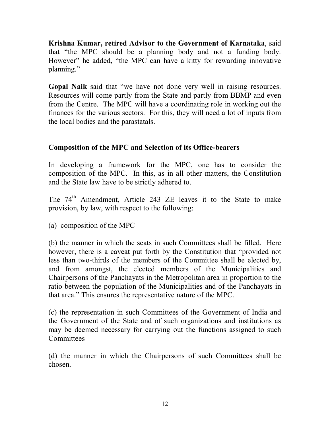**Krishna Kumar, retired Advisor to the Government of Karnataka**, said that "the MPC should be a planning body and not a funding body. However" he added, "the MPC can have a kitty for rewarding innovative planning."

**Gopal Naik** said that "we have not done very well in raising resources. Resources will come partly from the State and partly from BBMP and even from the Centre. The MPC will have a coordinating role in working out the finances for the various sectors. For this, they will need a lot of inputs from the local bodies and the parastatals.

# **Composition of the MPC and Selection of its Office-bearers**

In developing a framework for the MPC, one has to consider the composition of the MPC. In this, as in all other matters, the Constitution and the State law have to be strictly adhered to.

The 74<sup>th</sup> Amendment, Article 243 ZE leaves it to the State to make provision, by law, with respect to the following:

(a) composition of the MPC

(b) the manner in which the seats in such Committees shall be filled. Here however, there is a caveat put forth by the Constitution that "provided not less than two-thirds of the members of the Committee shall be elected by, and from amongst, the elected members of the Municipalities and Chairpersons of the Panchayats in the Metropolitan area in proportion to the ratio between the population of the Municipalities and of the Panchayats in that area." This ensures the representative nature of the MPC.

(c) the representation in such Committees of the Government of India and the Government of the State and of such organizations and institutions as may be deemed necessary for carrying out the functions assigned to such **Committees** 

(d) the manner in which the Chairpersons of such Committees shall be chosen.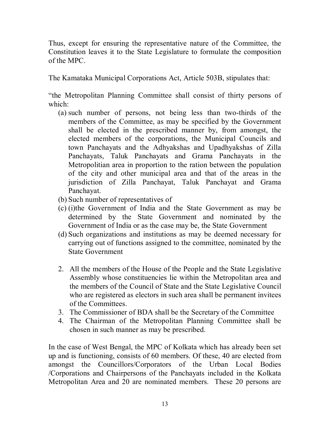Thus, except for ensuring the representative nature of the Committee, the Constitution leaves it to the State Legislature to formulate the composition of the MPC.

The Kamataka Municipal Corporations Act, Article 503B, stipulates that:

"the Metropolitan Planning Committee shall consist of thirty persons of which:

- (a) such number of persons, not being less than two-thirds of the members of the Committee, as may be specified by the Government shall be elected in the prescribed manner by, from amongst, the elected members of the corporations, the Municipal Councils and town Panchayats and the Adhyakshas and Upadhyakshas of Zilla Panchayats, Taluk Panchayats and Grama Panchayats in the Metropolitian area in proportion to the ration between the population of the city and other municipal area and that of the areas in the jurisdiction of Zilla Panchayat, Taluk Panchayat and Grama Panchayat.
- (b) Such number of representatives of
- (c) (i)the Government of India and the State Government as may be determined by the State Government and nominated by the Government of India or as the case may be, the State Government
- (d) Such organizations and institutions as may be deemed necessary for carrying out of functions assigned to the committee, nominated by the State Government
- 2. All the members of the House of the People and the State Legislative Assembly whose constituencies lie within the Metropolitan area and the members of the Council of State and the State Legislative Council who are registered as electors in such area shall be permanent invitees of the Committees.
- 3. The Commissioner of BDA shall be the Secretary of the Committee
- 4. The Chairman of the Metropolitan Planning Committee shall be chosen in such manner as may be prescribed.

In the case of West Bengal, the MPC of Kolkata which has already been set up and is functioning, consists of 60 members. Of these, 40 are elected from amongst the Councillors/Corporators of the Urban Local Bodies /Corporations and Chairpersons of the Panchayats included in the Kolkata Metropolitan Area and 20 are nominated members. These 20 persons are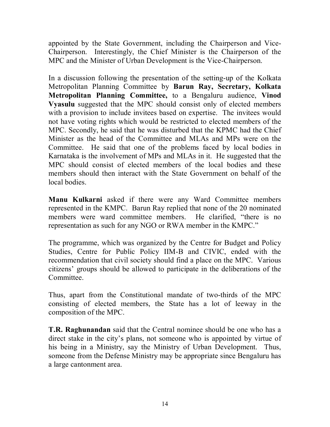appointed by the State Government, including the Chairperson and Vice-Chairperson. Interestingly, the Chief Minister is the Chairperson of the MPC and the Minister of Urban Development is the Vice-Chairperson.

In a discussion following the presentation of the setting-up of the Kolkata Metropolitan Planning Committee by **Barun Ray, Secretary, Kolkata Metropolitan Planning Committee,** to a Bengaluru audience, **Vinod Vyasulu** suggested that the MPC should consist only of elected members with a provision to include invitees based on expertise. The invitees would not have voting rights which would be restricted to elected members of the MPC. Secondly, he said that he was disturbed that the KPMC had the Chief Minister as the head of the Committee and MLAs and MPs were on the Committee. He said that one of the problems faced by local bodies in Karnataka is the involvement of MPs and MLAs in it. He suggested that the MPC should consist of elected members of the local bodies and these members should then interact with the State Government on behalf of the local bodies.

**Manu Kulkarni** asked if there were any Ward Committee members represented in the KMPC. Barun Ray replied that none of the 20 nominated members were ward committee members. He clarified, "there is no representation as such for any NGO or RWA member in the KMPC."

The programme, which was organized by the Centre for Budget and Policy Studies, Centre for Public Policy IIM-B and CIVIC, ended with the recommendation that civil society should find a place on the MPC. Various citizens' groups should be allowed to participate in the deliberations of the **Committee** 

Thus, apart from the Constitutional mandate of two-thirds of the MPC consisting of elected members, the State has a lot of leeway in the composition of the MPC.

**T.R. Raghunandan** said that the Central nominee should be one who has a direct stake in the city's plans, not someone who is appointed by virtue of his being in a Ministry, say the Ministry of Urban Development. Thus, someone from the Defense Ministry may be appropriate since Bengaluru has a large cantonment area.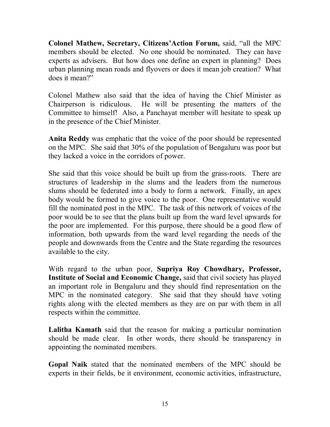**Colonel Mathew, Secretary, Citizens'Action Forum,** said, "all the MPC members should be elected. No one should be nominated. They can have experts as advisers. But how does one define an expert in planning? Does urban planning mean roads and flyovers or does it mean job creation? What does it mean?"

Colonel Mathew also said that the idea of having the Chief Minister as Chairperson is ridiculous. He will be presenting the matters of the Committee to himself! Also, a Panchayat member will hesitate to speak up in the presence of the Chief Minister.

**Anita Reddy** was emphatic that the voice of the poor should be represented on the MPC. She said that 30% of the population of Bengaluru was poor but they lacked a voice in the corridors of power.

She said that this voice should be built up from the grass-roots. There are structures of leadership in the slums and the leaders from the numerous slums should be federated into a body to form a network. Finally, an apex body would be formed to give voice to the poor. One representative would fill the nominated post in the MPC. The task of this network of voices of the poor would be to see that the plans built up from the ward level upwards for the poor are implemented. For this purpose, there should be a good flow of information, both upwards from the ward level regarding the needs of the people and downwards from the Centre and the State regarding the resources available to the city.

With regard to the urban poor, **Supriya Roy Chowdhary, Professor, Institute of Social and Economic Change,** said that civil society has played an important role in Bengaluru and they should find representation on the MPC in the nominated category. She said that they should have voting rights along with the elected members as they are on par with them in all respects within the committee.

**Lalitha Kamath** said that the reason for making a particular nomination should be made clear. In other words, there should be transparency in appointing the nominated members.

**Gopal Naik** stated that the nominated members of the MPC should be experts in their fields, be it environment, economic activities, infrastructure,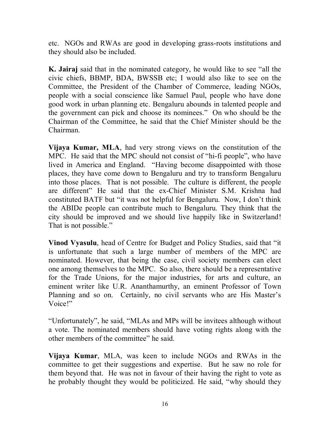etc. NGOs and RWAs are good in developing grass-roots institutions and they should also be included.

**K. Jairaj** said that in the nominated category, he would like to see "all the civic chiefs, BBMP, BDA, BWSSB etc; I would also like to see on the Committee, the President of the Chamber of Commerce, leading NGOs, people with a social conscience like Samuel Paul, people who have done good work in urban planning etc. Bengaluru abounds in talented people and the government can pick and choose its nominees." On who should be the Chairman of the Committee, he said that the Chief Minister should be the Chairman.

**Vijaya Kumar, MLA**, had very strong views on the constitution of the MPC. He said that the MPC should not consist of "hi-fi people", who have lived in America and England. "Having become disappointed with those places, they have come down to Bengaluru and try to transform Bengaluru into those places. That is not possible. The culture is different, the people are different" He said that the ex-Chief Minister S.M. Krishna had constituted BATF but "it was not helpful for Bengaluru. Now, I don't think the ABIDe people can contribute much to Bengaluru. They think that the city should be improved and we should live happily like in Switzerland! That is not possible."

**Vinod Vyasulu**, head of Centre for Budget and Policy Studies, said that "it is unfortunate that such a large number of members of the MPC are nominated. However, that being the case, civil society members can elect one among themselves to the MPC. So also, there should be a representative for the Trade Unions, for the major industries, for arts and culture, an eminent writer like U.R. Ananthamurthy, an eminent Professor of Town Planning and so on. Certainly, no civil servants who are His Master's Voice!"

"Unfortunately", he said, "MLAs and MPs will be invitees although without a vote. The nominated members should have voting rights along with the other members of the committee" he said.

**Vijaya Kumar**, MLA, was keen to include NGOs and RWAs in the committee to get their suggestions and expertise. But he saw no role for them beyond that. He was not in favour of their having the right to vote as he probably thought they would be politicized. He said, "why should they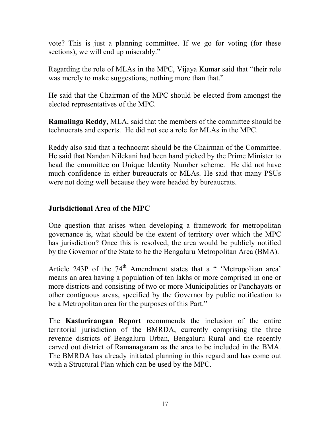vote? This is just a planning committee. If we go for voting (for these sections), we will end up miserably."

Regarding the role of MLAs in the MPC, Vijaya Kumar said that "their role was merely to make suggestions; nothing more than that."

He said that the Chairman of the MPC should be elected from amongst the elected representatives of the MPC.

**Ramalinga Reddy**, MLA, said that the members of the committee should be technocrats and experts. He did not see a role for MLAs in the MPC.

Reddy also said that a technocrat should be the Chairman of the Committee. He said that Nandan Nilekani had been hand picked by the Prime Minister to head the committee on Unique Identity Number scheme. He did not have much confidence in either bureaucrats or MLAs. He said that many PSUs were not doing well because they were headed by bureaucrats.

## **Jurisdictional Area of the MPC**

One question that arises when developing a framework for metropolitan governance is, what should be the extent of territory over which the MPC has jurisdiction? Once this is resolved, the area would be publicly notified by the Governor of the State to be the Bengaluru Metropolitan Area (BMA).

Article 243P of the 74<sup>th</sup> Amendment states that a " 'Metropolitan area' means an area having a population of ten lakhs or more comprised in one or more districts and consisting of two or more Municipalities or Panchayats or other contiguous areas, specified by the Governor by public notification to be a Metropolitan area for the purposes of this Part."

The **Kasturirangan Report** recommends the inclusion of the entire territorial jurisdiction of the BMRDA, currently comprising the three revenue districts of Bengaluru Urban, Bengaluru Rural and the recently carved out district of Ramanagaram as the area to be included in the BMA. The BMRDA has already initiated planning in this regard and has come out with a Structural Plan which can be used by the MPC.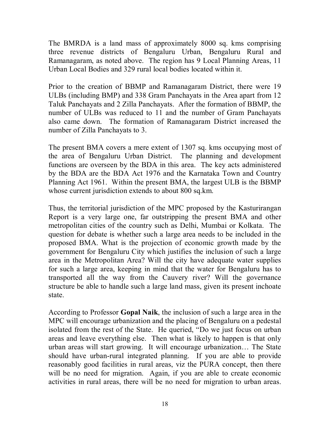The BMRDA is a land mass of approximately 8000 sq. kms comprising three revenue districts of Bengaluru Urban, Bengaluru Rural and Ramanagaram, as noted above. The region has 9 Local Planning Areas, 11 Urban Local Bodies and 329 rural local bodies located within it.

Prior to the creation of BBMP and Ramanagaram District, there were 19 ULBs (including BMP) and 338 Gram Panchayats in the Area apart from 12 Taluk Panchayats and 2 Zilla Panchayats. After the formation of BBMP, the number of ULBs was reduced to 11 and the number of Gram Panchayats also came down. The formation of Ramanagaram District increased the number of Zilla Panchayats to 3.

The present BMA covers a mere extent of 1307 sq. kms occupying most of the area of Bengaluru Urban District. The planning and development functions are overseen by the BDA in this area. The key acts administered by the BDA are the BDA Act 1976 and the Karnataka Town and Country Planning Act 1961. Within the present BMA, the largest ULB is the BBMP whose current jurisdiction extends to about 800 sq.km.

Thus, the territorial jurisdiction of the MPC proposed by the Kasturirangan Report is a very large one, far outstripping the present BMA and other metropolitan cities of the country such as Delhi, Mumbai or Kolkata. The question for debate is whether such a large area needs to be included in the proposed BMA. What is the projection of economic growth made by the government for Bengaluru City which justifies the inclusion of such a large area in the Metropolitan Area? Will the city have adequate water supplies for such a large area, keeping in mind that the water for Bengaluru has to transported all the way from the Cauvery river? Will the governance structure be able to handle such a large land mass, given its present inchoate state.

According to Professor **Gopal Naik**, the inclusion of such a large area in the MPC will encourage urbanization and the placing of Bengaluru on a pedestal isolated from the rest of the State. He queried, "Do we just focus on urban areas and leave everything else. Then what is likely to happen is that only urban areas will start growing. It will encourage urbanization… The State should have urban-rural integrated planning. If you are able to provide reasonably good facilities in rural areas, viz the PURA concept, then there will be no need for migration. Again, if you are able to create economic activities in rural areas, there will be no need for migration to urban areas.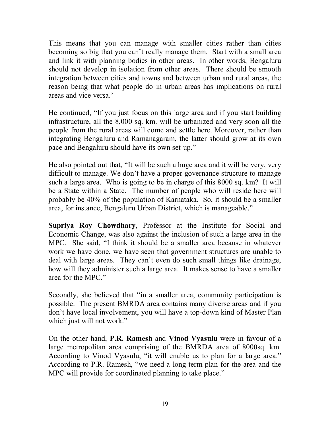This means that you can manage with smaller cities rather than cities becoming so big that you can't really manage them. Start with a small area and link it with planning bodies in other areas. In other words, Bengaluru should not develop in isolation from other areas. There should be smooth integration between cities and towns and between urban and rural areas, the reason being that what people do in urban areas has implications on rural areas and vice versa.'

He continued, "If you just focus on this large area and if you start building infrastructure, all the 8,000 sq. km. will be urbanized and very soon all the people from the rural areas will come and settle here. Moreover, rather than integrating Bengaluru and Ramanagaram, the latter should grow at its own pace and Bengaluru should have its own set-up."

He also pointed out that, "It will be such a huge area and it will be very, very difficult to manage. We don't have a proper governance structure to manage such a large area. Who is going to be in charge of this 8000 sq. km? It will be a State within a State. The number of people who will reside here will probably be 40% of the population of Karnataka. So, it should be a smaller area, for instance, Bengaluru Urban District, which is manageable."

**Supriya Roy Chowdhary**, Professor at the Institute for Social and Economic Change, was also against the inclusion of such a large area in the MPC. She said, "I think it should be a smaller area because in whatever work we have done, we have seen that government structures are unable to deal with large areas. They can't even do such small things like drainage, how will they administer such a large area. It makes sense to have a smaller area for the MPC."

Secondly, she believed that "in a smaller area, community participation is possible. The present BMRDA area contains many diverse areas and if you don't have local involvement, you will have a top-down kind of Master Plan which just will not work."

On the other hand, **P.R. Ramesh** and **Vinod Vyasulu** were in favour of a large metropolitan area comprising of the BMRDA area of 8000sq. km. According to Vinod Vyasulu, "it will enable us to plan for a large area." According to P.R. Ramesh, "we need a long-term plan for the area and the MPC will provide for coordinated planning to take place."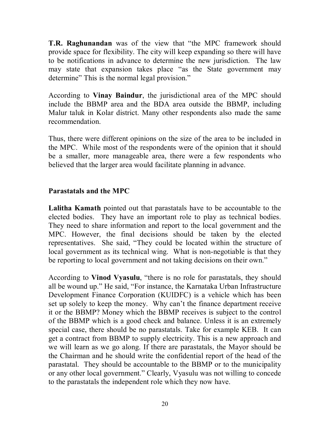**T.R. Raghunandan** was of the view that "the MPC framework should provide space for flexibility. The city will keep expanding so there will have to be notifications in advance to determine the new jurisdiction. The law may state that expansion takes place "as the State government may determine" This is the normal legal provision."

According to **Vinay Baindur**, the jurisdictional area of the MPC should include the BBMP area and the BDA area outside the BBMP, including Malur taluk in Kolar district. Many other respondents also made the same recommendation.

Thus, there were different opinions on the size of the area to be included in the MPC. While most of the respondents were of the opinion that it should be a smaller, more manageable area, there were a few respondents who believed that the larger area would facilitate planning in advance.

## **Parastatals and the MPC**

**Lalitha Kamath** pointed out that parastatals have to be accountable to the elected bodies. They have an important role to play as technical bodies. They need to share information and report to the local government and the MPC. However, the final decisions should be taken by the elected representatives. She said, "They could be located within the structure of local government as its technical wing. What is non-negotiable is that they be reporting to local government and not taking decisions on their own."

According to **Vinod Vyasulu**, "there is no role for parastatals, they should all be wound up." He said, "For instance, the Karnataka Urban Infrastructure Development Finance Corporation (KUIDFC) is a vehicle which has been set up solely to keep the money. Why can't the finance department receive it or the BBMP? Money which the BBMP receives is subject to the control of the BBMP which is a good check and balance. Unless it is an extremely special case, there should be no parastatals. Take for example KEB. It can get a contract from BBMP to supply electricity. This is a new approach and we will learn as we go along. If there are parastatals, the Mayor should be the Chairman and he should write the confidential report of the head of the parastatal. They should be accountable to the BBMP or to the municipality or any other local government." Clearly, Vyasulu was not willing to concede to the parastatals the independent role which they now have.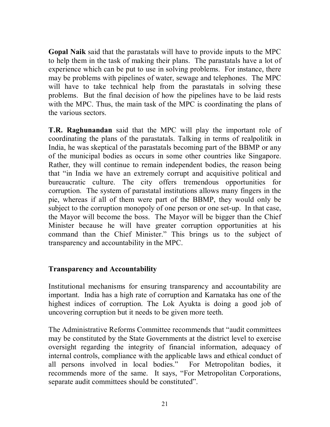**Gopal Naik** said that the parastatals will have to provide inputs to the MPC to help them in the task of making their plans. The parastatals have a lot of experience which can be put to use in solving problems. For instance, there may be problems with pipelines of water, sewage and telephones. The MPC will have to take technical help from the parastatals in solving these problems. But the final decision of how the pipelines have to be laid rests with the MPC. Thus, the main task of the MPC is coordinating the plans of the various sectors.

**T.R. Raghunandan** said that the MPC will play the important role of coordinating the plans of the parastatals. Talking in terms of realpolitik in India, he was skeptical of the parastatals becoming part of the BBMP or any of the municipal bodies as occurs in some other countries like Singapore. Rather, they will continue to remain independent bodies, the reason being that "in India we have an extremely corrupt and acquisitive political and bureaucratic culture. The city offers tremendous opportunities for corruption. The system of parastatal institutions allows many fingers in the pie, whereas if all of them were part of the BBMP, they would only be subject to the corruption monopoly of one person or one set-up. In that case, the Mayor will become the boss. The Mayor will be bigger than the Chief Minister because he will have greater corruption opportunities at his command than the Chief Minister." This brings us to the subject of transparency and accountability in the MPC.

#### **Transparency and Accountability**

Institutional mechanisms for ensuring transparency and accountability are important. India has a high rate of corruption and Karnataka has one of the highest indices of corruption. The Lok Ayukta is doing a good job of uncovering corruption but it needs to be given more teeth.

The Administrative Reforms Committee recommends that "audit committees may be constituted by the State Governments at the district level to exercise oversight regarding the integrity of financial information, adequacy of internal controls, compliance with the applicable laws and ethical conduct of all persons involved in local bodies." For Metropolitan bodies, it recommends more of the same. It says, "For Metropolitan Corporations, separate audit committees should be constituted".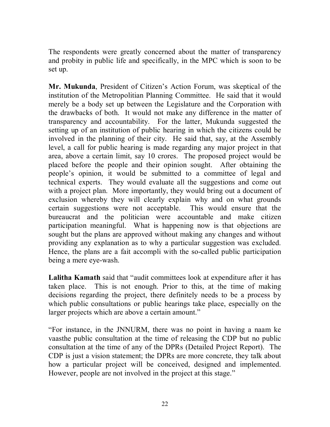The respondents were greatly concerned about the matter of transparency and probity in public life and specifically, in the MPC which is soon to be set up.

**Mr. Mukunda**, President of Citizen's Action Forum, was skeptical of the institution of the Metropolitian Planning Committee. He said that it would merely be a body set up between the Legislature and the Corporation with the drawbacks of both. It would not make any difference in the matter of transparency and accountability. For the latter, Mukunda suggested the setting up of an institution of public hearing in which the citizens could be involved in the planning of their city. He said that, say, at the Assembly level, a call for public hearing is made regarding any major project in that area, above a certain limit, say 10 crores. The proposed project would be placed before the people and their opinion sought. After obtaining the people's opinion, it would be submitted to a committee of legal and technical experts. They would evaluate all the suggestions and come out with a project plan. More importantly, they would bring out a document of exclusion whereby they will clearly explain why and on what grounds certain suggestions were not acceptable. This would ensure that the bureaucrat and the politician were accountable and make citizen participation meaningful. What is happening now is that objections are sought but the plans are approved without making any changes and without providing any explanation as to why a particular suggestion was excluded. Hence, the plans are a fait accompli with the so-called public participation being a mere eye-wash.

**Lalitha Kamath** said that "audit committees look at expenditure after it has taken place. This is not enough. Prior to this, at the time of making decisions regarding the project, there definitely needs to be a process by which public consultations or public hearings take place, especially on the larger projects which are above a certain amount."

"For instance, in the JNNURM, there was no point in having a naam ke vaasthe public consultation at the time of releasing the CDP but no public consultation at the time of any of the DPRs (Detailed Project Report). The CDP is just a vision statement; the DPRs are more concrete, they talk about how a particular project will be conceived, designed and implemented. However, people are not involved in the project at this stage."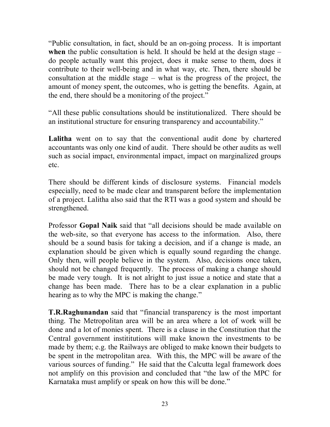"Public consultation, in fact, should be an on-going process. It is important when the public consultation is held. It should be held at the design stage – do people actually want this project, does it make sense to them, does it contribute to their well-being and in what way, etc. Then, there should be consultation at the middle stage – what is the progress of the project, the amount of money spent, the outcomes, who is getting the benefits. Again, at the end, there should be a monitoring of the project."

"All these public consultations should be institutionalized. There should be an institutional structure for ensuring transparency and accountability."

Lalitha went on to say that the conventional audit done by chartered accountants was only one kind of audit. There should be other audits as well such as social impact, environmental impact, impact on marginalized groups etc.

There should be different kinds of disclosure systems. Financial models especially, need to be made clear and transparent before the implementation of a project. Lalitha also said that the RTI was a good system and should be strengthened.

Professor **Gopal Naik** said that "all decisions should be made available on the web-site, so that everyone has access to the information. Also, there should be a sound basis for taking a decision, and if a change is made, an explanation should be given which is equally sound regarding the change. Only then, will people believe in the system. Also, decisions once taken, should not be changed frequently. The process of making a change should be made very tough. It is not alright to just issue a notice and state that a change has been made. There has to be a clear explanation in a public hearing as to why the MPC is making the change."

**T.R.Raghunandan** said that "financial transparency is the most important thing. The Metropolitan area will be an area where a lot of work will be done and a lot of monies spent. There is a clause in the Constitution that the Central government instititutions will make known the investments to be made by them; e.g. the Railways are obliged to make known their budgets to be spent in the metropolitan area. With this, the MPC will be aware of the various sources of funding." He said that the Calcutta legal framework does not amplify on this provision and concluded that "the law of the MPC for Karnataka must amplify or speak on how this will be done."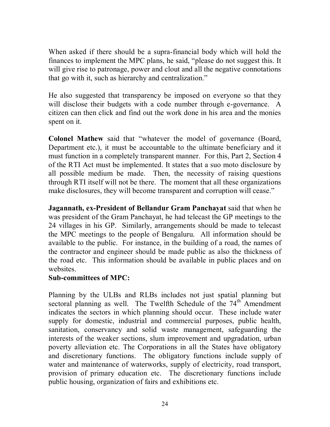When asked if there should be a supra-financial body which will hold the finances to implement the MPC plans, he said, "please do not suggest this. It will give rise to patronage, power and clout and all the negative connotations that go with it, such as hierarchy and centralization."

He also suggested that transparency be imposed on everyone so that they will disclose their budgets with a code number through e-governance. A citizen can then click and find out the work done in his area and the monies spent on it.

**Colonel Mathew** said that "whatever the model of governance (Board, Department etc.), it must be accountable to the ultimate beneficiary and it must function in a completely transparent manner. For this, Part 2, Section 4 of the RTI Act must be implemented. It states that a suo moto disclosure by all possible medium be made. Then, the necessity of raising questions through RTI itself will not be there. The moment that all these organizations make disclosures, they will become transparent and corruption will cease."

**Jagannath, ex-President of Bellandur Gram Panchayat** said that when he was president of the Gram Panchayat, he had telecast the GP meetings to the 24 villages in his GP. Similarly, arrangements should be made to telecast the MPC meetings to the people of Bengaluru. All information should be available to the public. For instance, in the building of a road, the names of the contractor and engineer should be made public as also the thickness of the road etc. This information should be available in public places and on websites.

#### **Sub-committees of MPC:**

Planning by the ULBs and RLBs includes not just spatial planning but sectoral planning as well. The Twelfth Schedule of the 74<sup>th</sup> Amendment indicates the sectors in which planning should occur. These include water supply for domestic, industrial and commercial purposes, public health, sanitation, conservancy and solid waste management, safeguarding the interests of the weaker sections, slum improvement and upgradation, urban poverty alleviation etc. The Corporations in all the States have obligatory and discretionary functions. The obligatory functions include supply of water and maintenance of waterworks, supply of electricity, road transport, provision of primary education etc. The discretionary functions include public housing, organization of fairs and exhibitions etc.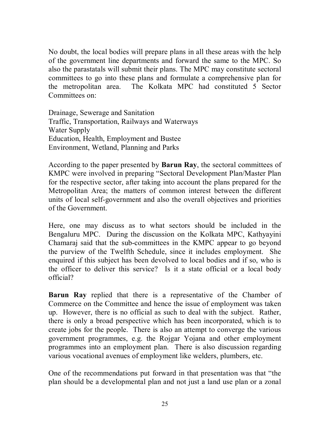No doubt, the local bodies will prepare plans in all these areas with the help of the government line departments and forward the same to the MPC. So also the parastatals will submit their plans. The MPC may constitute sectoral committees to go into these plans and formulate a comprehensive plan for the metropolitan area. The Kolkata MPC had constituted 5 Sector Committees on:

Drainage, Sewerage and Sanitation Traffic, Transportation, Railways and Waterways Water Supply Education, Health, Employment and Bustee Environment, Wetland, Planning and Parks

According to the paper presented by **Barun Ray**, the sectoral committees of KMPC were involved in preparing "Sectoral Development Plan/Master Plan for the respective sector, after taking into account the plans prepared for the Metropolitan Area; the matters of common interest between the different units of local self-government and also the overall objectives and priorities of the Government.

Here, one may discuss as to what sectors should be included in the Bengaluru MPC. During the discussion on the Kolkata MPC, Kathyayini Chamaraj said that the sub-committees in the KMPC appear to go beyond the purview of the Twelfth Schedule, since it includes employment. She enquired if this subject has been devolved to local bodies and if so, who is the officer to deliver this service? Is it a state official or a local body official?

**Barun Ray** replied that there is a representative of the Chamber of Commerce on the Committee and hence the issue of employment was taken up. However, there is no official as such to deal with the subject. Rather, there is only a broad perspective which has been incorporated, which is to create jobs for the people. There is also an attempt to converge the various government programmes, e.g. the Rojgar Yojana and other employment programmes into an employment plan. There is also discussion regarding various vocational avenues of employment like welders, plumbers, etc.

One of the recommendations put forward in that presentation was that "the plan should be a developmental plan and not just a land use plan or a zonal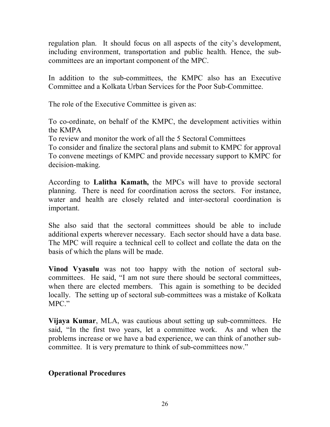regulation plan. It should focus on all aspects of the city's development, including environment, transportation and public health. Hence, the subcommittees are an important component of the MPC.

In addition to the sub-committees, the KMPC also has an Executive Committee and a Kolkata Urban Services for the Poor Sub-Committee.

The role of the Executive Committee is given as:

To co-ordinate, on behalf of the KMPC, the development activities within the KMPA

To review and monitor the work of all the 5 Sectoral Committees

To consider and finalize the sectoral plans and submit to KMPC for approval To convene meetings of KMPC and provide necessary support to KMPC for decision-making.

According to **Lalitha Kamath,** the MPCs will have to provide sectoral planning. There is need for coordination across the sectors. For instance, water and health are closely related and inter-sectoral coordination is important.

She also said that the sectoral committees should be able to include additional experts wherever necessary. Each sector should have a data base. The MPC will require a technical cell to collect and collate the data on the basis of which the plans will be made.

**Vinod Vyasulu** was not too happy with the notion of sectoral subcommittees. He said, "I am not sure there should be sectoral committees, when there are elected members. This again is something to be decided locally. The setting up of sectoral sub-committees was a mistake of Kolkata MPC."

**Vijaya Kumar**, MLA, was cautious about setting up sub-committees. He said, "In the first two years, let a committee work. As and when the problems increase or we have a bad experience, we can think of another subcommittee. It is very premature to think of sub-committees now."

## **Operational Procedures**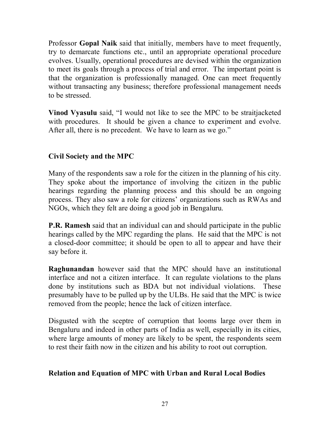Professor **Gopal Naik** said that initially, members have to meet frequently, try to demarcate functions etc., until an appropriate operational procedure evolves. Usually, operational procedures are devised within the organization to meet its goals through a process of trial and error. The important point is that the organization is professionally managed. One can meet frequently without transacting any business; therefore professional management needs to be stressed.

**Vinod Vyasulu** said, "I would not like to see the MPC to be straitjacketed with procedures. It should be given a chance to experiment and evolve. After all, there is no precedent. We have to learn as we go."

# **Civil Society and the MPC**

Many of the respondents saw a role for the citizen in the planning of his city. They spoke about the importance of involving the citizen in the public hearings regarding the planning process and this should be an ongoing process. They also saw a role for citizens' organizations such as RWAs and NGOs, which they felt are doing a good job in Bengaluru.

**P.R. Ramesh** said that an individual can and should participate in the public hearings called by the MPC regarding the plans. He said that the MPC is not a closed-door committee; it should be open to all to appear and have their say before it.

**Raghunandan** however said that the MPC should have an institutional interface and not a citizen interface. It can regulate violations to the plans done by institutions such as BDA but not individual violations. These presumably have to be pulled up by the ULBs. He said that the MPC is twice removed from the people; hence the lack of citizen interface.

Disgusted with the sceptre of corruption that looms large over them in Bengaluru and indeed in other parts of India as well, especially in its cities, where large amounts of money are likely to be spent, the respondents seem to rest their faith now in the citizen and his ability to root out corruption.

## **Relation and Equation of MPC with Urban and Rural Local Bodies**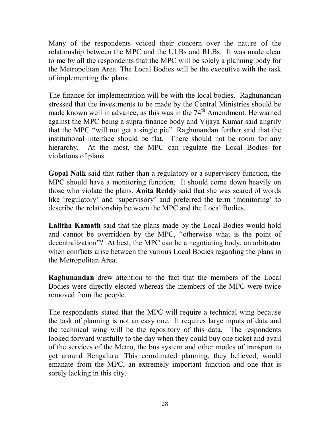Many of the respondents voiced their concern over the nature of the relationship between the MPC and the ULBs and RLBs. It was made clear to me by all the respondents that the MPC will be solely a planning body for the Metropolitan Area. The Local Bodies will be the executive with the task of implementing the plans.

The finance for implementation will be with the local bodies. Raghunandan stressed that the investments to be made by the Central Ministries should be made known well in advance, as this was in the  $74<sup>th</sup>$  Amendment. He warned against the MPC being a supra-finance body and Vijaya Kumar said angrily that the MPC "will not get a single pie". Raghunandan further said that the institutional interface should be flat. There should not be room for any hierarchy. At the most, the MPC can regulate the Local Bodies for violations of plans.

**Gopal Naik** said that rather than a regulatory or a supervisory function, the MPC should have a monitoring function. It should come down heavily on those who violate the plans. **Anita Reddy** said that she was scared of words like 'regulatory' and 'supervisory' and preferred the term 'monitoring' to describe the relationship between the MPC and the Local Bodies.

**Lalitha Kamath** said that the plans made by the Local Bodies would hold and cannot be overridden by the MPC, "otherwise what is the point of decentralization"? At best, the MPC can be a negotiating body, an arbitrator when conflicts arise between the various Local Bodies regarding the plans in the Metropolitan Area.

**Raghunandan** drew attention to the fact that the members of the Local Bodies were directly elected whereas the members of the MPC were twice removed from the people.

The respondents stated that the MPC will require a technical wing because the task of planning is not an easy one. It requires large inputs of data and the technical wing will be the repository of this data. The respondents looked forward wistfully to the day when they could buy one ticket and avail of the services of the Metro, the bus system and other modes of transport to get around Bengaluru. This coordinated planning, they believed, would emanate from the MPC, an extremely important function and one that is sorely lacking in this city.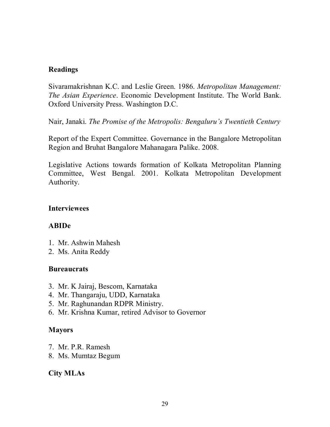#### **Readings**

Sivaramakrishnan K.C. and Leslie Green. 1986. *Metropolitan Management: The Asian Experience*. Economic Development Institute. The World Bank. Oxford University Press. Washington D.C.

Nair, Janaki. *The Promise of the Metropolis: Bengaluru's Twentieth Century*

Report of the Expert Committee. Governance in the Bangalore Metropolitan Region and Bruhat Bangalore Mahanagara Palike. 2008.

Legislative Actions towards formation of Kolkata Metropolitan Planning Committee, West Bengal. 2001. Kolkata Metropolitan Development Authority.

#### **Interviewees**

## **ABIDe**

- 1. Mr. Ashwin Mahesh
- 2. Ms. Anita Reddy

#### **Bureaucrats**

- 3. Mr. K Jairaj, Bescom, Karnataka
- 4. Mr. Thangaraju, UDD, Karnataka
- 5. Mr. Raghunandan RDPR Ministry.
- 6. Mr. Krishna Kumar, retired Advisor to Governor

## **Mayors**

- 7. Mr. P.R. Ramesh
- 8. Ms. Mumtaz Begum

## **City MLAs**